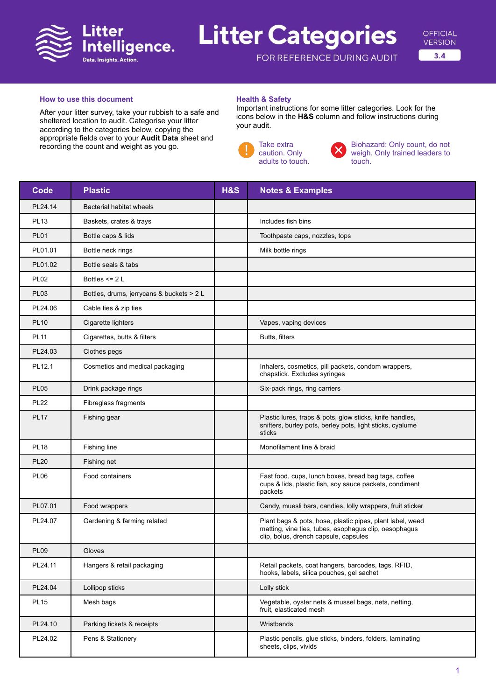

# **Litter Categories**



FOR REFERENCE DURING AUDIT

### **How to use this document**

After your litter survey, take your rubbish to a safe and sheltered location to audit. Categorise your litter according to the categories below, copying the appropriate fields over to your **Audit Data** sheet and recording the count and weight as you go.

### **Health & Safety**

Important instructions for some litter categories. Look for the icons below in the **H&S** column and follow instructions during your audit.



Biohazard: Only count, do not weigh. Only trained leaders to touch.

| <b>Code</b> | <b>Plastic</b>                            | <b>H&amp;S</b> | <b>Notes &amp; Examples</b>                                                                                                                                 |
|-------------|-------------------------------------------|----------------|-------------------------------------------------------------------------------------------------------------------------------------------------------------|
| PL24.14     | Bacterial habitat wheels                  |                |                                                                                                                                                             |
| <b>PL13</b> | Baskets, crates & trays                   |                | Includes fish bins                                                                                                                                          |
| <b>PL01</b> | Bottle caps & lids                        |                | Toothpaste caps, nozzles, tops                                                                                                                              |
| PL01.01     | Bottle neck rings                         |                | Milk bottle rings                                                                                                                                           |
| PL01.02     | Bottle seals & tabs                       |                |                                                                                                                                                             |
| <b>PL02</b> | Bottles $\leq$ 2 L                        |                |                                                                                                                                                             |
| <b>PL03</b> | Bottles, drums, jerrycans & buckets > 2 L |                |                                                                                                                                                             |
| PL24.06     | Cable ties & zip ties                     |                |                                                                                                                                                             |
| <b>PL10</b> | Cigarette lighters                        |                | Vapes, vaping devices                                                                                                                                       |
| <b>PL11</b> | Cigarettes, butts & filters               |                | Butts, filters                                                                                                                                              |
| PL24.03     | Clothes pegs                              |                |                                                                                                                                                             |
| PL12.1      | Cosmetics and medical packaging           |                | Inhalers, cosmetics, pill packets, condom wrappers,<br>chapstick. Excludes syringes                                                                         |
| <b>PL05</b> | Drink package rings                       |                | Six-pack rings, ring carriers                                                                                                                               |
| <b>PL22</b> | Fibreglass fragments                      |                |                                                                                                                                                             |
| <b>PL17</b> | Fishing gear                              |                | Plastic lures, traps & pots, glow sticks, knife handles,<br>snifters, burley pots, berley pots, light sticks, cyalume<br>sticks                             |
| <b>PL18</b> | Fishing line                              |                | Monofilament line & braid                                                                                                                                   |
| <b>PL20</b> | Fishing net                               |                |                                                                                                                                                             |
| <b>PL06</b> | Food containers                           |                | Fast food, cups, lunch boxes, bread bag tags, coffee<br>cups & lids, plastic fish, soy sauce packets, condiment<br>packets                                  |
| PL07.01     | Food wrappers                             |                | Candy, muesli bars, candies, lolly wrappers, fruit sticker                                                                                                  |
| PL24.07     | Gardening & farming related               |                | Plant bags & pots, hose, plastic pipes, plant label, weed<br>matting, vine ties, tubes, esophagus clip, oesophagus<br>clip, bolus, drench capsule, capsules |
| <b>PL09</b> | Gloves                                    |                |                                                                                                                                                             |
| PL24.11     | Hangers & retail packaging                |                | Retail packets, coat hangers, barcodes, tags, RFID,<br>hooks, labels, silica pouches, gel sachet                                                            |
| PL24.04     | Lollipop sticks                           |                | Lolly stick                                                                                                                                                 |
| <b>PL15</b> | Mesh bags                                 |                | Vegetable, oyster nets & mussel bags, nets, netting,<br>fruit, elasticated mesh                                                                             |
| PL24.10     | Parking tickets & receipts                |                | Wristbands                                                                                                                                                  |
| PL24.02     | Pens & Stationery                         |                | Plastic pencils, glue sticks, binders, folders, laminating<br>sheets, clips, vivids                                                                         |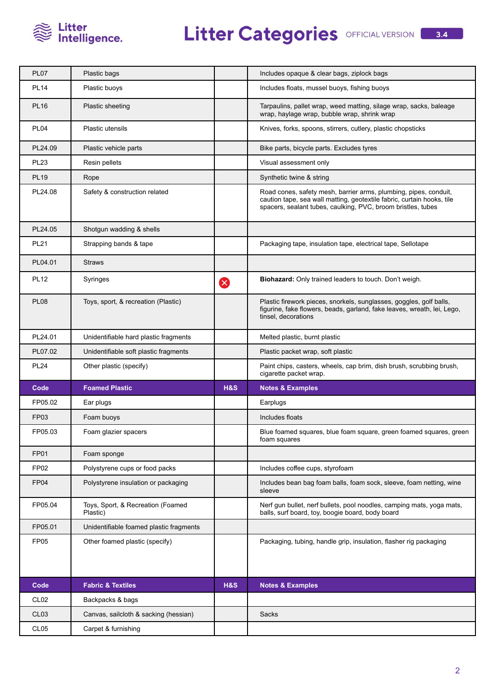

| <b>PL07</b>      | Plastic bags                                  |                | Includes opaque & clear bags, ziplock bags                                                                                                                                                                 |
|------------------|-----------------------------------------------|----------------|------------------------------------------------------------------------------------------------------------------------------------------------------------------------------------------------------------|
| <b>PL14</b>      | Plastic buoys                                 |                | Includes floats, mussel buoys, fishing buoys                                                                                                                                                               |
| <b>PL16</b>      | Plastic sheeting                              |                | Tarpaulins, pallet wrap, weed matting, silage wrap, sacks, baleage<br>wrap, haylage wrap, bubble wrap, shrink wrap                                                                                         |
| <b>PL04</b>      | <b>Plastic utensils</b>                       |                | Knives, forks, spoons, stirrers, cutlery, plastic chopsticks                                                                                                                                               |
| PL24.09          | Plastic vehicle parts                         |                | Bike parts, bicycle parts. Excludes tyres                                                                                                                                                                  |
| <b>PL23</b>      | Resin pellets                                 |                | Visual assessment only                                                                                                                                                                                     |
| <b>PL19</b>      | Rope                                          |                | Synthetic twine & string                                                                                                                                                                                   |
| PL24.08          | Safety & construction related                 |                | Road cones, safety mesh, barrier arms, plumbing, pipes, conduit,<br>caution tape, sea wall matting, geotextile fabric, curtain hooks, tile<br>spacers, sealant tubes, caulking, PVC, broom bristles, tubes |
| PL24.05          | Shotgun wadding & shells                      |                |                                                                                                                                                                                                            |
| <b>PL21</b>      | Strapping bands & tape                        |                | Packaging tape, insulation tape, electrical tape, Sellotape                                                                                                                                                |
| PL04.01          | <b>Straws</b>                                 |                |                                                                                                                                                                                                            |
| <b>PL12</b>      | Syringes                                      | Ø              | Biohazard: Only trained leaders to touch. Don't weigh.                                                                                                                                                     |
| <b>PL08</b>      | Toys, sport, & recreation (Plastic)           |                | Plastic firework pieces, snorkels, sunglasses, goggles, golf balls,<br>figurine, fake flowers, beads, garland, fake leaves, wreath, lei, Lego,<br>tinsel, decorations                                      |
| PL24.01          | Unidentifiable hard plastic fragments         |                | Melted plastic, burnt plastic                                                                                                                                                                              |
| PL07.02          | Unidentifiable soft plastic fragments         |                | Plastic packet wrap, soft plastic                                                                                                                                                                          |
| <b>PL24</b>      | Other plastic (specify)                       |                | Paint chips, casters, wheels, cap brim, dish brush, scrubbing brush,<br>cigarette packet wrap.                                                                                                             |
| Code             | <b>Foamed Plastic</b>                         | H&S            | <b>Notes &amp; Examples</b>                                                                                                                                                                                |
| FP05.02          | Ear plugs                                     |                | Earplugs                                                                                                                                                                                                   |
| <b>FP03</b>      | Foam buoys                                    |                | Includes floats                                                                                                                                                                                            |
| FP05.03          | Foam glazier spacers                          |                | Blue foamed squares, blue foam square, green foamed squares, green<br>foam squares                                                                                                                         |
| <b>FP01</b>      | Foam sponge                                   |                |                                                                                                                                                                                                            |
| FP <sub>02</sub> | Polystyrene cups or food packs                |                | Includes coffee cups, styrofoam                                                                                                                                                                            |
| FP04             | Polystyrene insulation or packaging           |                | Includes bean bag foam balls, foam sock, sleeve, foam netting, wine<br>sleeve                                                                                                                              |
| FP05.04          | Toys, Sport, & Recreation (Foamed<br>Plastic) |                | Nerf gun bullet, nerf bullets, pool noodles, camping mats, yoga mats,<br>balls, surf board, toy, boogie board, body board                                                                                  |
| FP05.01          | Unidentifiable foamed plastic fragments       |                |                                                                                                                                                                                                            |
| FP <sub>05</sub> | Other foamed plastic (specify)                |                | Packaging, tubing, handle grip, insulation, flasher rig packaging                                                                                                                                          |
| Code             | <b>Fabric &amp; Textiles</b>                  | <b>H&amp;S</b> | <b>Notes &amp; Examples</b>                                                                                                                                                                                |
| CL <sub>02</sub> | Backpacks & bags                              |                |                                                                                                                                                                                                            |
| CL <sub>03</sub> | Canvas, sailcloth & sacking (hessian)         |                | Sacks                                                                                                                                                                                                      |
| CL <sub>05</sub> | Carpet & furnishing                           |                |                                                                                                                                                                                                            |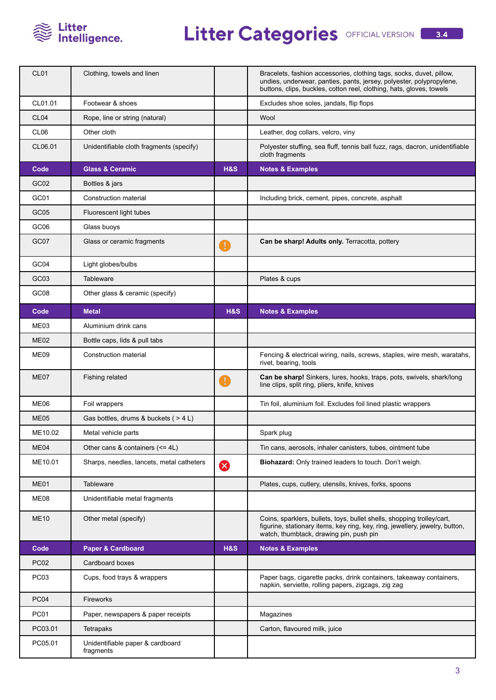

## Litter Categories OFFICIAL VERSION **8.4**

| CL <sub>01</sub> | Clothing, towels and linen                    |                | Bracelets, fashion accessories, clothing tags, socks, duvet, pillow,<br>undies, underwear, panties, pants, jersey, polyester, polypropylene,<br>buttons, clips, buckles, cotton reel, clothing, hats, gloves, towels |
|------------------|-----------------------------------------------|----------------|----------------------------------------------------------------------------------------------------------------------------------------------------------------------------------------------------------------------|
| CL01.01          | Footwear & shoes                              |                | Excludes shoe soles, jandals, flip flops                                                                                                                                                                             |
| CL <sub>04</sub> | Rope, line or string (natural)                |                | Wool                                                                                                                                                                                                                 |
| CL <sub>06</sub> | Other cloth                                   |                | Leather, dog collars, velcro, viny                                                                                                                                                                                   |
| CL06.01          | Unidentifiable cloth fragments (specify)      |                | Polyester stuffing, sea fluff, tennis ball fuzz, rags, dacron, unidentifiable<br>cloth fragments                                                                                                                     |
| Code             | <b>Glass &amp; Ceramic</b>                    | H&S            | <b>Notes &amp; Examples</b>                                                                                                                                                                                          |
| GC <sub>02</sub> | Bottles & jars                                |                |                                                                                                                                                                                                                      |
| GC01             | Construction material                         |                | Including brick, cement, pipes, concrete, asphalt                                                                                                                                                                    |
| GC <sub>05</sub> | Fluorescent light tubes                       |                |                                                                                                                                                                                                                      |
| GC <sub>06</sub> | Glass buoys                                   |                |                                                                                                                                                                                                                      |
| GC07             | Glass or ceramic fragments                    | T              | Can be sharp! Adults only. Terracotta, pottery                                                                                                                                                                       |
| GC04             | Light globes/bulbs                            |                |                                                                                                                                                                                                                      |
| GC03             | Tableware                                     |                | Plates & cups                                                                                                                                                                                                        |
| GC08             | Other glass & ceramic (specify)               |                |                                                                                                                                                                                                                      |
| Code             | <b>Metal</b>                                  | <b>H&amp;S</b> | <b>Notes &amp; Examples</b>                                                                                                                                                                                          |
| ME03             | Aluminium drink cans                          |                |                                                                                                                                                                                                                      |
| ME <sub>02</sub> | Bottle caps, lids & pull tabs                 |                |                                                                                                                                                                                                                      |
| ME09             | Construction material                         |                | Fencing & electrical wiring, nails, screws, staples, wire mesh, waratahs,<br>rivet, bearing, tools                                                                                                                   |
| ME07             | Fishing related                               | $\mathbf{I}$   | Can be sharp! Sinkers, lures, hooks, traps, pots, swivels, shark/long<br>line clips, split ring, pliers, knife, knives                                                                                               |
| ME06             | Foil wrappers                                 |                | Tin foil, aluminium foil. Excludes foil lined plastic wrappers                                                                                                                                                       |
| <b>ME05</b>      | Gas bottles, drums & buckets ( > 4 L)         |                |                                                                                                                                                                                                                      |
| ME10.02          | Metal vehicle parts                           |                | Spark plug                                                                                                                                                                                                           |
| ME04             | Other cans & containers $(\leq 4L)$           |                | Tin cans, aerosols, inhaler canisters, tubes, ointment tube                                                                                                                                                          |
| ME10.01          | Sharps, needles, lancets, metal catheters     | Ø              | Biohazard: Only trained leaders to touch. Don't weigh.                                                                                                                                                               |
| ME01             | <b>Tableware</b>                              |                | Plates, cups, cutlery, utensils, knives, forks, spoons                                                                                                                                                               |
| ME08             | Unidentifiable metal fragments                |                |                                                                                                                                                                                                                      |
| <b>ME10</b>      | Other metal (specify)                         |                | Coins, sparklers, bullets, toys, bullet shells, shopping trolley/cart,<br>figurine, stationary items, key ring, key, ring, jewellery, jewelry, button,<br>watch, thumbtack, drawing pin, push pin                    |
| Code             | Paper & Cardboard                             | <b>H&amp;S</b> | <b>Notes &amp; Examples</b>                                                                                                                                                                                          |
| <b>PC02</b>      | Cardboard boxes                               |                |                                                                                                                                                                                                                      |
| <b>PC03</b>      | Cups, food trays & wrappers                   |                | Paper bags, cigarette packs, drink containers, takeaway containers,<br>napkin, serviette, rolling papers, zigzags, zig zag                                                                                           |
| <b>PC04</b>      | Fireworks                                     |                |                                                                                                                                                                                                                      |
| <b>PC01</b>      | Paper, newspapers & paper receipts            |                | Magazines                                                                                                                                                                                                            |
| PC03.01          | Tetrapaks                                     |                | Carton, flavoured milk, juice                                                                                                                                                                                        |
| PC05.01          | Unidentifiable paper & cardboard<br>fragments |                |                                                                                                                                                                                                                      |